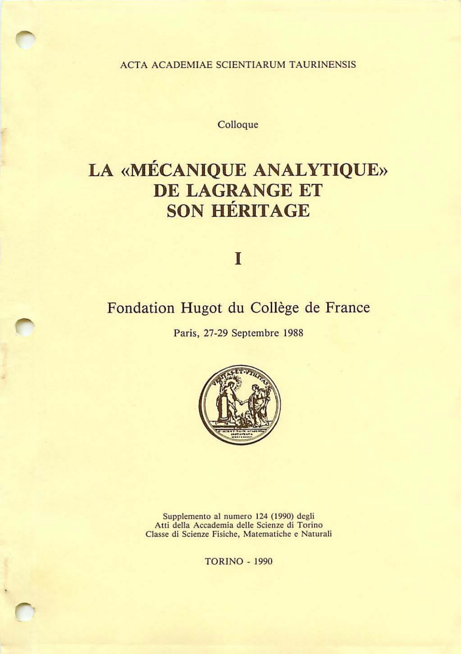ACTA ACADEMIAE SCIENTIARUM TAURINENSIS

Colloque

# LA «MECANIQUE ANALYTIQUE» DE LAGRANGE ET SON HERITAGE

I

# Fondation Hugot du Collège de France

Paris, 27-29 Septembre 1988



Supplcmento al numero 124 (1990) degli Atti della Accademia delle Scienze di Torino Classe di Scienze Fisiche, Matcmaliche e Naturali

TORINO - 1990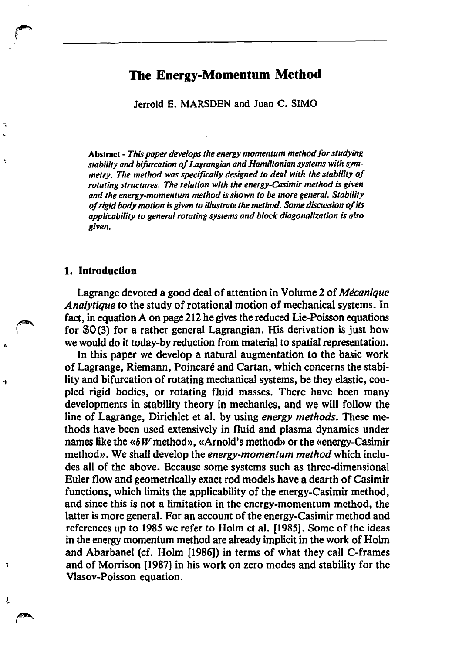## **The Energy-Momentum Method**

Jerrold E. MARSDEN and Juan C. SIMO

Abstract - This paper develops the energy momentum method for studying *stability and bifurcation oj Lagrangian and Hamiltonian systems with symmetry. The method was specifically designed to deal with the stability oj rotating structures. The relation with the energy-Casimir method is given and the energy-momentum method is shown to be more general. Stability oj rigid body motion is given* 10 *illustrate the method. Some discussion oj its applicability to general rotating systems and block diagonalization is also given.* 

#### **1. Introduction**

 $\sqrt{a^2 + b^2}$ 

"

'n,

Lagrange devoted a good deal of attention in Volume 2 of *Mecanique Analytique* to the study of rotational motion of mechanical systems. In fact, in equation A on page 212 he gives the reduced Lie-Poisson equations for SO(3) for a rather general Lagrangian. His derivation is just how we would do it today-by reduction from material to spatial representation.

In this paper we develop a natural augmentation to the basic work of Lagrange, Riemann, Poincare and Cartan, which concerns the stability and bifurcation of rotating mechanical systems, be they elastic, coupled rigid bodies. or rotating fluid masses. There have been many developments in stability theory in mechanics. and we will follow the line of Lagrange, Dirichlet et al. by using *energy methods.* These methods have been used extensively in fluid and plasma dynamics under names like the «5 *W* method». «Arnold's method» or the «energy-Casimir method». We shall develop the *energy-momentum method* which includes all of the above. Because some systems such as three-dimensional Euler flow and geometrically exact rod models have a dearth of Casimir functions. which limits the applicability of the energy-Casimir method. and since this is not a limitation in the energy-momentum method, the latter is more general. For an account of the energy-Casimir method and references up to 1985 we refer to Holm et al. [1985]. Some of the ideas in the energy momentum method are already implicit in the work of Holm and Abarbanel (cf. Holm [1986]) in terms of what they call C-frames and of Morrison [1987J in his work on zero modes and stability for the Vlasov-Poisson equation.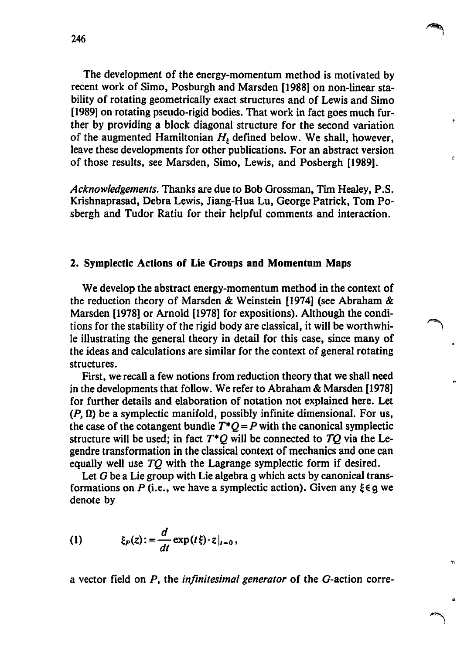The development of the energy-momentum method is motivated by recent work of Simo, Posburgh and Marsden [1988] on non-linear stability of rotating geometrically exact structures and of Lewis and Simo [1989J on rotating pseudo-rigid bodies. That work in fact goes much further by providing a block diagonal structure for the second variation of the augmented Hamiltonian  $H_t$ , defined below. We shall, however, leave these developments for other publications. For an abstract version of those results, see Marsden, Simo, Lewis, and Posbergh [1989J.

r.

ċ

*Acknowledgements.* Thanks are due to Bob Grossman, Tim Healey, P.S. Krishnaprasad, Debra Lewis, Jiang-Hua Lu, George Patrick, Tom Posbergh and Tudor Ratiu for their helpful comments and interaction.

#### 2. Symplectic Actions of Lie Groups and Momentum Maps

We develop the abstract energy-momentum method in the context of the reduction theory of Marsden & Weinstein [1974] (see Abraham & Marsden [1978) or Arnold [1978) for expositions). Although the conditions for the stability of the rigid body are classical, it will be worthwhi- ~ Ie illustrating the general theory in detail for this case, since many of the ideas and calculations are similar for the context of general rotating structures.

First, we recall a few notions from reduction theory that we shall need in the developments that follow. We refer to Abraham & Marsden [1978J for further details and elaboration of notation not explained here. Let  $(P, \Omega)$  be a symplectic manifold, possibly infinite dimensional. For us, the case of the cotangent bundle  $T^*Q = P$  with the canonical symplectic structure will be used; in fact *T\*Q* will be connected to *TQ* via the Legendre transformation in the classical context of mechanics and one can equally well use *TQ* with the Lagrange symplectic form if desired.

Let  $G$  be a Lie group with Lie algebra  $g$  which acts by canonical transformations on  $P$  (i.e., we have a symplectic action). Given any  $\xi \in g$  we denote by

(1) 
$$
\xi_P(z) := \frac{d}{dt} \exp(t \xi) \cdot z|_{t=0},
$$

a vector field on *P,* the *infinitesimal generator* of the G-action corre-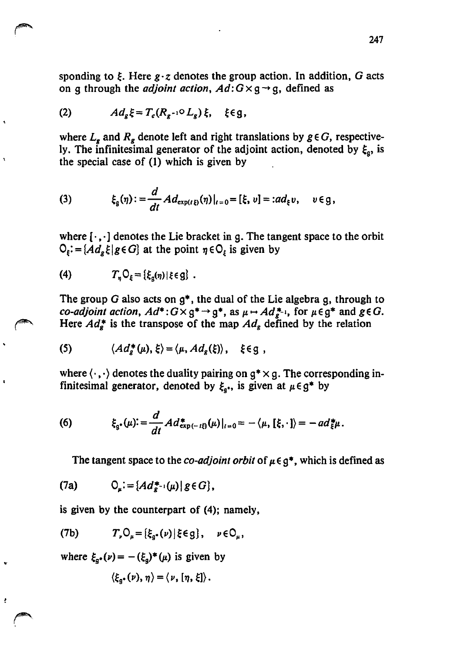sponding to  $\xi$ . Here  $g \cdot z$  denotes the group action. In addition, G acts on g through the *adjoint action,*  $Ad: G \times g \rightarrow g$ , defined as

(2) 
$$
Ad_g \xi = T_e (R_g^{-10} L_g) \xi
$$
,  $\xi \in g$ ,

where  $L<sub>g</sub>$  and  $R<sub>g</sub>$  denote left and right translations by  $g \in G$ , respectively. The infinitesimal generator of the adjoint action, denoted by  $\xi_{0}$ , is the special case of (1) which is given by

(3) 
$$
\xi_{g}(\eta) := \frac{d}{dt} Ad_{\exp(t\xi)}(\eta)|_{t=0} = [\xi, v] = : ad_{\xi}v, \quad v \in g,
$$

where  $[\cdot, \cdot]$  denotes the Lie bracket in g. The tangent space to the orbit  $Q_{\xi}$ : = { $Ad_{g}\xi$ |g  $\epsilon G$ } at the point  $\eta \epsilon Q_{\xi}$  is given by

$$
(4) \tT_{\eta} O_{\xi} = {\xi_g(\eta) \,|\, \xi \in g} \ .
$$

The group G also acts on  $g^*$ , the dual of the Lie algebra g, through to *co-adjoint action,*  $Ad^*$ :  $G \times g^* \rightarrow g^*$ , as  $\mu \mapsto Ad_{g^{-1}}^*$ , for  $\mu \in g^*$  and  $g \in G$ .  $\epsilon$  Here  $Ad_{g}^{*}$  is the transpose of the map  $Ad_{g}$  defined by the relation

(5) 
$$
\langle Ad_s^*(\mu), \xi \rangle = \langle \mu, Ad_g(\xi) \rangle, \xi \in g
$$

where  $\langle \cdot, \cdot \rangle$  denotes the duality pairing on  $g^* \times g$ . The corresponding infinitesimal generator, denoted by  $\xi_{q^*}$ , is given at  $\mu \in g^*$  by

(6) 
$$
\xi_{g^*}(\mu) = \frac{d}{dt} Ad^*_{\exp(-t\xi)}(\mu)|_{t=0} = -\langle \mu, [\xi, \cdot] \rangle = -ad^*_{\xi} \mu.
$$

The tangent space to the *co-adjoint orbit* of  $\mu \in g^*$ , which is defined as

(7a) 
$$
Q_{\mu} := \{Ad_{g^{-1}}^{\ast}(\mu) | g \in G\},\
$$

is given by the counterpart of (4); namely,

(7b) 
$$
T_{\nu}O_{\mu} = \{\xi_{g^*}(\nu) | \xi \in g\}, \quad \nu \in O_{\mu},
$$

where  $\xi_{g^*}(\nu) = -(\xi_g)^* (\mu)$  is given by

..

$$
\langle \xi_{g^*}(\nu), \eta \rangle = \langle \nu, [\eta, \xi] \rangle.
$$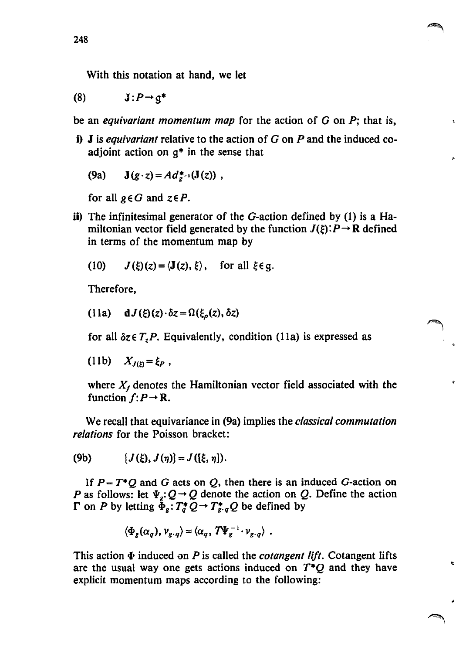With this notation at hand, we let

(8)  $\mathbf{J}:P\rightarrow\mathbf{q}^*$ 

be an *equivariant momentum map* for the action of  $G$  on  $P$ ; that is,

 $\hat{\mathbf{t}}$ 

- i) J is *equivariant* relative to the action of G on *P* and the induced coadjoint action on g\* in the sense that
	- (9a)  $J(g \cdot z) = Ad_{g^{-1}}^*(J(z))$ ,

for all  $g \in G$  and  $z \in P$ .

- ii) The infinitesimal generator of the G-action defined by (1) is a Hamiltonian vector field generated by the function  $J(\xi):P\to\mathbb{R}$  defined in terms of the momentum map by
	- (10)  $J(\xi)(z) = \langle J(z), \xi \rangle$ , for all  $\xi \in q$ .

Therefore,

(11a) 
$$
dJ(\xi)(z) \cdot \delta z = \Omega(\xi_p(z), \delta z)
$$

for all  $\delta z \in T_z P$ . Equivalently, condition (11a) is expressed as

(11b) 
$$
X_{J(i)} = \xi_P
$$
,

where  $X_t$  denotes the Hamiltonian vector field associated with the function  $f: P \rightarrow \mathbb{R}$ .

We recall that equivariance in (9a) implies the *classical commutation relations* for the Poisson bracket:

(9b) 
$$
\{J(\xi), J(\eta)\}=J([\xi, \eta]).
$$

If  $P = T^*Q$  and G acts on Q, then there is an induced G-action on P as follows: let  $\Psi_{\sigma}: Q \to Q$  denote the action on Q. Define the action  $\Gamma$  on *P* by letting  $\check{\Phi}_g: T_g^*Q \to T_{g \circ q}^*Q$  be defined by

$$
\langle \Phi_g(\alpha_q), v_{g \cdot q} \rangle = \langle \alpha_q, T \Psi_g^{-1} \cdot v_{g \cdot q} \rangle .
$$

This action  $\Phi$  induced on  $P$  is called the *cotangent lift*. Cotangent lifts are the usual way one gets actions induced on *T\*Q* and they have explicit momentum maps according to the following: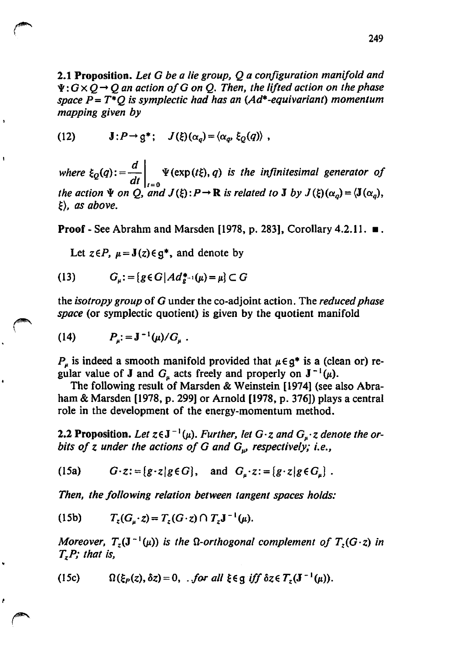2.1 Proposition. *Let* G *be a lie group,* Q *a configuration manifold and*   $\mathcal{Q}: G \times Q \rightarrow Q$  an action of G on Q. Then, the lifted action on the phase *space P= T\*Q is symplectic had has an (Ad\*-equivariant) momentum mapping given by* 

 $\mathbf{J}: P \to q^*; \quad J(\xi)(\alpha_q) = \langle \alpha_q, \xi_Q(q) \rangle$ ,  $(12)$ 

*where*  $\xi_Q(q) := \frac{d}{dt}\Big|_{t=0} \Psi(\exp(t\xi), q)$  *is the infinitesimal generator of the action*  $\Psi$  *on*  $Q$ , *and*  $J(\xi): P \to \mathbf{R}$  *is related to* **J** *by*  $J(\xi)(\alpha_q) = \langle \mathbf{J}(\alpha_q), \mathbf{J}(\xi) \rangle$  $\xi$ , *as above.* 

**Proof - See Abrahm and Marsden [1978, p. 283], Corollary 4.2.11.**  $\blacksquare$ **.** 

Let  $z \in P$ ,  $\mu = J(z) \in g^*$ , and denote by

(13) 
$$
G_{\mu} := \{ g \in G \mid Ad_{g^{-1}}^{\ast}(\mu) = \mu \} \subset G
$$

the *isotropy group* of G under the co-adjoint action. The *reduced phase space* (or symplectic quotient) is given by the quotient manifold

(14) 
$$
P_{\mu} = J^{-1}(\mu)/G_{\mu}.
$$

ń

 $P_{\mu}$  is indeed a smooth manifold provided that  $\mu \in g^*$  is a (clean or) regular value of **J** and  $G_{\mu}$  acts freely and properly on  $J^{-1}(\mu)$ .

The following result of Marsden & Weinstein [1974] (see also Abraham & Marsden [1978. p. 299] or Arnold [1978. p. 376J) plays a central role in the development of the energy-momentum method.

**2.2 Proposition.** Let  $z \in J^{-1}(\mu)$ . Further, let  $G \cdot z$  and  $G_{\mu} \cdot z$  denote the or*bits of z under the actions of G and G<sub>iv</sub> respectively; i.e.,* 

(15a)  $G \cdot z := [g \cdot z | g \in G]$ , and  $G_u \cdot z := [g \cdot z | g \in G_u]$ .

*Then, the following relation between tangent spaces holds:* 

(15b) 
$$
T_z(G_{\mu} \cdot z) = T_z(G \cdot z) \cap T_z \mathbf{J}^{-1}(\mu).
$$

*Moreover,*  $T_z(\mathbf{J}^{-1}(\mu))$  *is the*  $\Omega$ *-orthogonal complement of*  $T_z(G \cdot z)$  *in TzP; that is.* 

(15c) 
$$
\Omega(\xi_P(z), \delta z) = 0, \quad \text{for all } \xi \in g \text{ iff } \delta z \in T_z(\mathbf{J}^{-1}(\mu)).
$$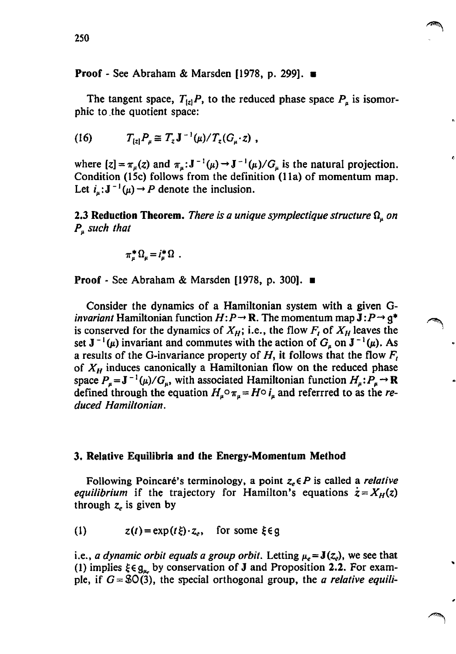The tangent space,  $T_{12}P$ , to the reduced phase space  $P_{\mu}$  is isomorphic to .the quotient space:

(16) 
$$
T_{[z]}P_{\mu} \cong T_z \mathbf{J}^{-1}(\mu)/T_z(G_{\mu} \cdot z) ,
$$

where  $[z] = \pi_\mu(z)$  and  $\pi_\mu : J^{-1}(\mu) \to J^{-1}(\mu)/G_\mu$  is the natural projection. Condition (15c) follows from the definition (11a) of momentum map. Let  $i_a: \mathbf{J}^{-1}(\mu) \to P$  denote the inclusion.

**2.3 Reduction Theorem.** *There is a unique symplectique structure*  $\Omega_{\mu}$  *on*  $P<sub>a</sub>$  *such that* 

$$
\pi^{\ast}_{\mu} \Omega_{\mu} = i^{\ast}_{\mu} \Omega .
$$

**Proof** - See Abraham & Marsden [1978, p. 300].  $\blacksquare$ 

Consider the dynamics of a Hamiltonian system with a given G*invariant* Hamiltonian function  $H: P \rightarrow \mathbb{R}$ . The momentum map  $J: P \rightarrow g^*$ is conserved for the dynamics of  $X_H$ ; i.e., the flow  $F_t$  of  $X_H$  leaves the set  $J^{-1}(\mu)$  invariant and commutes with the action of G<sub>n</sub> on  $J^{-1}(\mu)$ . As a results of the G-invariance property of  $H$ , it follows that the flow  $F_t$ of  $X_H$  induces canonically a Hamiltonian flow on the reduced phase space  $P_{\mu} = J^{-1}(\mu)/G_{\mu}$ , with associated Hamiltonian function  $H_{\mu}: P_{\mu} \to \mathbb{R}$ defined through the equation  $H_u \circ \pi_u = H \circ i_u$  and referrred to as the *reduced Hamiltonian.* 

#### 3. Relative Equilibria and the Energy-Momentum Method

Following Poincaré's terminology, a point  $z_e \in P$  is called a *relative equilibrium* if the trajectory for Hamilton's equations  $\dot{z} = X_H(z)$ through *Ze* is given by

(1)  $z(t) = \exp(t\xi) \cdot z_e$ , for some  $\xi \in g$ 

i.e., *a dynamic orbit equals a group orbit*. Letting  $\mu_e = \mathbf{J}(z_e)$ , we see that (1) implies  $\xi \in g_{\mu}$  by conservation of **J** and Proposition 2.2. For example, if  $G = \{80(3)\}$ , the special orthogonal group, the *a relative equili-*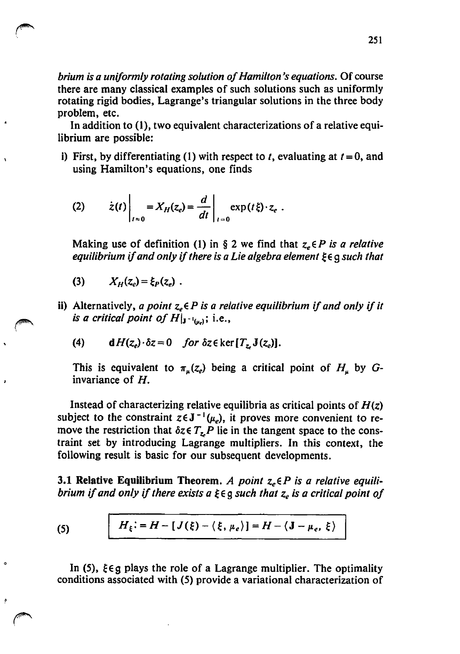*brium is a uniformly rotating solution oj Hamilton's equations.* Of course there are many classical examples of such solutions such as uniformly rotating rigid bodies, Lagrange's triangular solutions in the three body problem, etc.

In addition to (1), two equivalent characterizations of a relative equilibrium are possible:

i) First, by differentiating (1) with respect to  $t$ , evaluating at  $t = 0$ , and using Hamilton's equations, one finds

(2) 
$$
\dot{z}(t)\Big|_{t=0} = X_H(z_e) = \frac{d}{dt}\Big|_{t=0} \exp(t\xi) \cdot z_e
$$
.

Making use of definition (1) in  $\S 2$  we find that  $z_e \in P$  is a relative *equilibrium if and only if there is a Lie algebra element*  $\xi \in \mathfrak{q}$  *such that* 

- $X_{\nu}(z_{\nu}) = \xi_{\nu}(z_{\nu})$ .  $(3)$
- ii) Alternatively, *a point*  $z_e \in P$  *is a relative equilibrium if and only if it is a critical point of H* $|J^{-1}(q_0)|$ ; i.e.,

(4) 
$$
dH(z_e) \cdot \delta z = 0 \quad \text{for } \delta z \in \ker [T_z \mathbf{J}(z_e)].
$$

This is equivalent to  $\pi_u(z_e)$  being a critical point of  $H_u$  by Ginvariance of H.

Instead of characterizing relative equilibria as critical points of  $H(z)$ subject to the constraint  $z \in J^{-1}(\mu_e)$ , it proves more convenient to remove the restriction that  $\delta z \in T_z$ . P lie in the tangent space to the constraint set by introducing Lagrange multipliers. In this context, the following result is basic for our subsequent developments.

3.1 Relative Equilibrium Theorem. *A point z*<sub>c</sub>  $\in$  *P is a relative equilibrium if and only if there exists a*  $\xi \in \mathfrak{g}$  *such that z<sub>e</sub> is a critical point of* 

(5) 
$$
H_{\xi} := H - [J(\xi) - \langle \xi, \mu_e \rangle] = H - \langle \mathbf{J} - \mu_e, \xi \rangle
$$

In (5),  $\xi \in \mathfrak{g}$  plays the role of a Lagrange multiplier. The optimality conditions associated with (5) provide a variational characterization of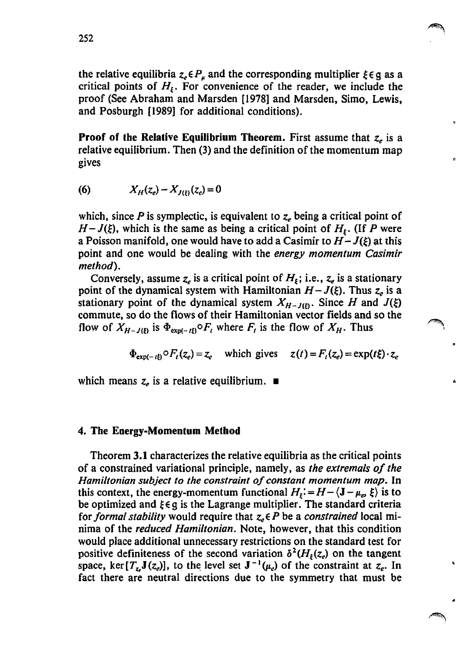the relative equilibria  $z_e \in P_\mu$  and the corresponding multiplier  $\xi \in g$  as a critical points of  $H<sub>k</sub>$ . For convenience of the reader, we include the proof (See Abraham and Marsden [1978] and Marsden, Simo, Lewis, and Posburgh [1989] for additional conditions).

Proof of the Relative Equilibrium Theorem. First assume that *Ze* is a relative equilibrium. Then (3) and the definition of the momentum map gives

(6) 
$$
X_H(z_e) - X_{J(\xi)}(z_e) = 0
$$

which, since *P* is symplectic, is equivalent to *z*<sub>c</sub> being a critical point of  $H-J(\xi)$ , which is the same as being a critical point of  $H<sub>f</sub>$ . (If P were a Poisson manifold, one would have to add a Casimir to  $H - J(\xi)$  at this point and one would be dealing with the *energy momentum Casimir method).* 

Conversely, assume  $z_e$  is a critical point of  $H<sub>\epsilon</sub>$ ; i.e.,  $z_e$  is a stationary point of the dynamical system with Hamiltonian  $H - J(\xi)$ . Thus  $z_e$  is a stationary point of the dynamical system  $X_{H-J(5)}$ . Since *H* and  $J(\xi)$ commute, so do the flows of their Hamiltonian vector fields and so the flow of  $X_{H-3(k)}$  is  $\Phi_{\exp(-t\xi)} \circ F_t$  where  $F_t$  is the flow of  $X_H$ . Thus

$$
\Phi_{\exp(-t\xi)} \circ F_t(z_e) = z_e \quad \text{which gives} \quad z(t) = F_t(z_e) = \exp(t\xi) \cdot z_e
$$

which means  $z_e$  is a relative equilibrium.  $\blacksquare$ 

#### 4. The Energy-Momentum Method

Theorem 3.1 characterizes the relative equilibria as the critical points of a constrained variational principle. namely. as *the extremals 0/ the Hamiltonian subject to the constraint of constant momentum map.* In this context, the energy-momentum functional  $H_s$ : =  $H - \langle \mathbf{J} - \mu_o \xi \rangle$  is to be optimized and  $\xi \in g$  is the Lagrange multiplier. The standard criteria for *formal stability* would require that  $z_e \in P$  be a *constrained* local minima of the *reduced Hamiltonian.* Note. however. that this condition would place additional unnecessary restrictions on the standard test for positive definiteness of the second variation  $\delta^2(H_t(z_e))$  on the tangent space, ker  $[T_{z}J(z_e)]$ , to the level set  $J^{-1}(\mu_e)$  of the constraint at  $z_e$ . In fact there are neutral directions due to the symmetry that must be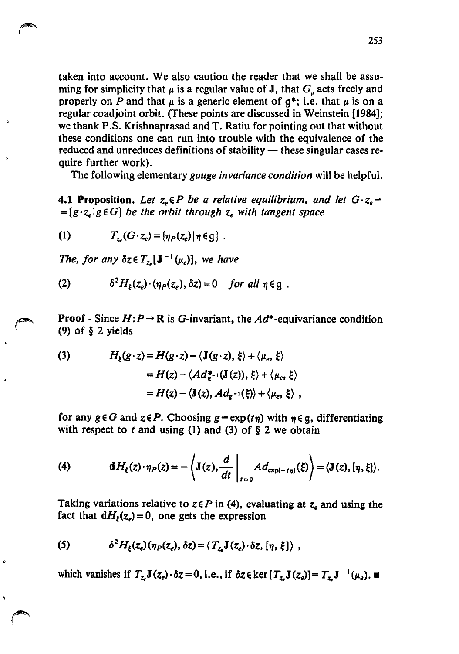taken into account. We also caution the reader that we shall be assuming for simplicity that  $\mu$  is a regular value of J, that  $G_{\mu}$  acts freely and properly on P and that  $\mu$  is a generic element of  $g^*$ ; i.e. that  $\mu$  is on a regular coadjoint orbit. (These points are discussed in Weinstein [1984); we thank P.S. Krishnaprasad and T. Ratiu for pointing out that without these conditions one can run into trouble with the equivalence of the reduced and unreduces definitions of stability  $-$  these singular cases require further work).

The following elementary *gauge in variance condition* will be helpful.

**4.1 Proposition.** Let  $z_e \in P$  be a relative equilibrium, and let  $G \cdot z_e =$  $=[g \cdot z_e]g \in G$  *be the orbit through z<sub>e</sub> with tangent space* 

(1) 
$$
T_{z_e}(G\cdot z_e) = \left(\eta_P(z_e)\right)\eta\in g\}.
$$

 $\lambda$ 

*The, for any*  $\delta z \in T_z[\mathbf{J}^{-1}(\mu_e)],$  *we have* 

(2) 
$$
\delta^2 H_{\xi}(z_e) \cdot (\eta_P(z_e), \delta z) = 0 \quad \text{for all } \eta \in \mathfrak{g}.
$$

**Proof** - Since  $H: P \to \mathbb{R}$  is G-invariant, the  $Ad^*$ -equivariance condition (9) of § 2 yields

(3) 
$$
H_{\xi}(g \cdot z) = H(g \cdot z) - \langle \mathbf{J}(g \cdot z), \xi \rangle + \langle \mu_e, \xi \rangle
$$

$$
= H(z) - \langle A d_{\xi}^* \cdot (\mathbf{J}(z)), \xi \rangle + \langle \mu_e, \xi \rangle
$$

$$
= H(z) - \langle \mathbf{J}(z), A d_{\xi} \cdot (\xi) \rangle + \langle \mu_e, \xi \rangle,
$$

for any  $g \in G$  and  $z \in P$ . Choosing  $g = \exp(t \eta)$  with  $\eta \in g$ , differentiating with respect to *1* and using (1) and (3) of § 2 we obtain

(4) 
$$
\mathbf{d}H_{\xi}(z)\cdot\eta_{P}(z)=-\left\langle \mathbf{J}(z),\frac{d}{dt}\bigg|_{t=0}Ad_{\exp(-t\eta)}(\xi)\right\rangle=\langle \mathbf{J}(z),[\eta,\xi]\rangle.
$$

Taking variations relative to  $z \in P$  in (4), evaluating at  $z_e$  and using the fact that  $dH_{\xi}(z_e) = 0$ , one gets the expression

(5) 
$$
\delta^2 H_{\xi}(z_e) (\eta_P(z_e), \delta z) = \langle T_{z_e} \mathbf{J}(z_e) \cdot \delta z, [\eta, \xi] \rangle,
$$

which vanishes if  $T_z \mathbf{J}(z_e) \cdot \delta z = 0$ , i.e., if  $\delta z \in \ker [T_z \mathbf{J}(z_e)] = T_z \mathbf{J}^{-1}(\mu_e)$ .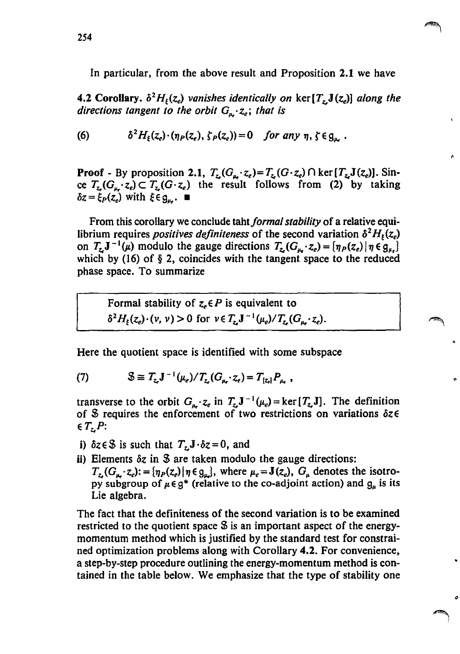In particular, from the above result and Proposition 2.1 we have

4.2 Corollary.  $\delta^2 H_t(z_e)$  *vanishes identically on ker*[ $T_z$ **J**( $z_e$ )] along the *directions tangent to the orbit*  $G_{\mu} \cdot z_{e}$ *; that is* 

(6) 
$$
\delta^2 H_{\xi}(z_e) \cdot (\eta_P(z_e), \zeta_P(z_e)) = 0 \quad \text{for any } \eta, \zeta \in \mathfrak{g}_{\mu}.
$$

**Proof** - By proposition 2.1,  $T_z(G_z, z_e) = T_z(G \cdot z_e) \cap \ker [T_z, J(z_e)]$ . Since  $T_z(G_\mu, z_e) \subset T_z(G \cdot z_e)$  the result follows from (2) by taking  $\delta z = \xi_P(z_e)$  with  $\xi \in g_{\mu}$ .  $\blacksquare$ 

From this corollary we conclude taht *formal stability* of a relative equilibrium requires *positives definiteness* of the second variation  $\delta^2 H_t(z_e)$ on *T*,  $J^{-1}(\mu)$  modulo the gauge directions  $T_z(G_{\mu} \cdot z_e) = [\eta_P(z_e) | \eta \in g_{\mu}$ which by (16) of § 2, coincides with the tangent space to the reduced phase space. To summarize

Formal stability of 
$$
z_e \in P
$$
 is equivalent to  
\n
$$
\delta^2 H_{\xi}(z_e) \cdot (v, v) > 0 \text{ for } v \in T_{z_e} \mathbf{J}^{-1}(\mu_e) / T_{z_e} (G_{\mu_e} \cdot z_e).
$$

Here the quotient space is identified with some subspace

(7) 
$$
\mathbb{S} \cong T_{z} \mathbf{J}^{-1}(\mu_{e}) / T_{z} (G_{\mu} \cdot z_{e}) = T_{|z_{e}|} P_{\mu_{e}},
$$

transverse to the orbit  $G_{\mu}$ ,  $z_e$  in  $T_z \mathbf{J}^{-1}(\mu_e) = \ker[T_z \mathbf{J}]$ . The definition of  $\Im$  requires the enforcement of two restrictions on variations  $\delta z \epsilon$ *ETz.,P:* 

- i)  $\delta z \in \mathcal{S}$  is such that  $T_z \mathbf{J} \cdot \delta z = 0$ , and
- ii) Elements  $\delta z$  in \$ are taken modulo the gauge directions:  $T_{z}(G_{\mu_{e}}\cdot z_{e}): = {\eta_{P}(z_{e}) | \eta \in g_{\mu_{e}}},$  where  $\mu_{e} = J(z_{e}), G_{\mu}$  denotes the isotropy subgroup of  $\mu \in g^*$  (relative to the co-adjoint action) and  $g_{\mu}$  is its Lie algebra.

The fact that the definiteness of the second variation is to be examined restricted to the quotient space S is an important aspect of the energymomentum method which is justified by the standard test for constrained optimization problems along with Corollary 4.2. For convenience, a step-by-step procedure outlining the energy-momentum method is contained in the table below. We emphasize that the type of stability one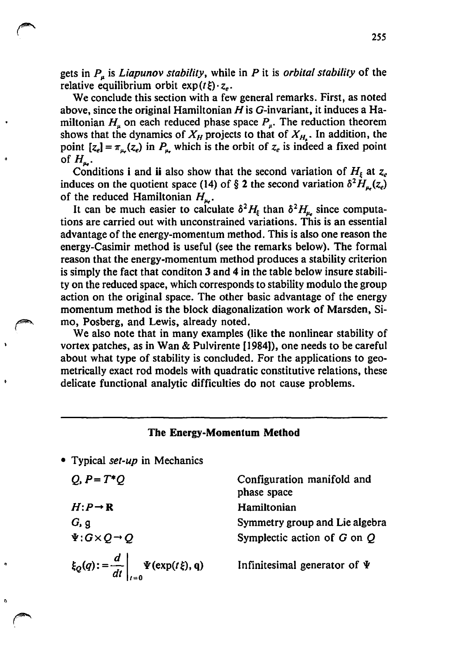gets in  $P_{\mu}$  is *Liapunov stability*, while in *P* it is *orbital stability* of the relative equilibrium orbit  $exp(t\xi) \cdot z_e$ .

We conclude this section with a few general remarks. First, as noted above, since the original Hamiltonian *His* G-invariant, it induces a Hamiltonian  $H_{\mu}$  on each reduced phase space  $P_{\mu}$ . The reduction theorem shows that the dynamics of  $X_H$  projects to that of  $X_H$ . In addition, the point  $[z_n] = \pi_{ij}(z_n)$  in  $P_{ij}$  which is the orbit of  $z_n$  is indeed a fixed point of  $H_{\ldots}$ .

Conditions i and ii also show that the second variation of  $H<sub>t</sub>$  at  $z<sub>e</sub>$ induces on the quotient space (14) of § 2 the second variation  $\delta^2 H_{\nu}(z)$ of the reduced Hamiltonian  $H_{\alpha}$ .

It can be much easier to calculate  $\delta^2 H_t$  than  $\delta^2 H_u$  since computations are carried out with unconstrained variations. This is an essential advantage of the energy-momentum method. This is also one reason the energy-Casimir method is useful (see the remarks below). The formal reason that the energy-momentum method produces a stability criterion is simply the fact that conditon 3 and 4 in the table below insure stability on the reduced space, which corresponds to stability modulo the group action on the original space. The other basic advantage of the energy momentum method is the block diagonalization work of Marsden, Simo, Posberg, and Lewis, already noted.

We also note that in many examples (like the nonlinear stability of vortex patches, as in Wan & Pulvirente [1984]), one needs to be careful about what type of stability is concluded. For the applications to geometrically exact rod models with quadratic constitutive relations, these delicate functional analytic difficulties do not cause problems.

#### The Energy-Momentum Method

| • Typical set-up in Mechanics                              |  |
|------------------------------------------------------------|--|
| Q, $P = T^*Q$                                              |  |
| $H: P \rightarrow \mathbb{R}$                              |  |
| G, g                                                       |  |
| $\Psi: G \times Q \rightarrow Q$                           |  |
| $\xi_Q(q) := \frac{d}{dt}\bigg _{t=0} \Psi(\exp(t\xi), q)$ |  |

Configuration manifold and phase space Hamiltonian Symmetry group and Lie algebra Symplectic action of G on Q

Infinitesimal generator of  $\Psi$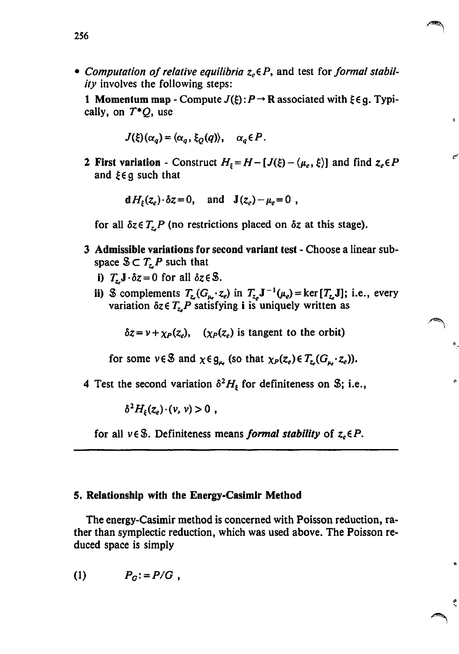• Computation of relative equilibria  $z_e \in P$ , and test for *formal stability* involves the following steps:

1 Momentum map - Compute  $J(\xi): P \to \mathbb{R}$  associated with  $\xi \in q$ . Typically, on *T\*Q,* use

$$
J(\xi)(\alpha_a) = \langle \alpha_a, \xi_O(q) \rangle, \quad \alpha_a \in P.
$$

2 First variation - Construct  $H_{\xi} = H - [J(\xi) - \langle \mu_e, \xi \rangle]$  and find  $z_e \in P$ and  $\xi \in \mathfrak{g}$  such that

 $dH_{\varepsilon}(z_{\varepsilon})\cdot\delta z=0$ , and  $J(z_{\varepsilon})-\mu_{\varepsilon}=0$ ,

for all  $\delta z \in T$ , P (no restrictions placed on  $\delta z$  at this stage).

- 3 Admissible variations for second variant test Choose a linear subspace  $S \subset T_zP$  such that
	- i)  $T<sub>z</sub> \mathbf{J} \cdot \delta z = 0$  for all  $\delta z \in \mathcal{S}$ .
	- ii) S complements  $T_{z_e}(G_{\mu_e} \cdot z_e)$  in  $T_{z_e}J^{-1}(\mu_e) = \ker [T_{z_e}J]$ ; i.e., every variation  $\delta z \in T_z P$  satisfying i is uniquely written as

 $\delta z = v + \gamma_p(z_e)$ ,  $(\gamma_p(z_e))$  is tangent to the orbit)

for some  $v \in \mathcal{S}$  and  $\chi \in g_{\mu_{e}}$  (so that  $\chi_{P}(z_e) \in T_{z_e}(G_{\mu_{e}} \cdot z_e)$ ).

4 Test the second variation  $\delta^2 H_\xi$  for definiteness on S; i.e.,

 $\delta^2 H_{\varepsilon}(z_e) \cdot (v, v) > 0$ ,

for all ve\$. Definiteness means *formal stability* of *zeEP.* 

#### 5. Relationship with the Energy-Casimir Method

The energy-Casimir method is concerned with Poisson reduction, rather than symplectic reduction, which was used above. The Poisson reduced space is simply

" '.

c.

ċ.

ø,

$$
(1) \hspace{1cm} P_G := P/G ,
$$

256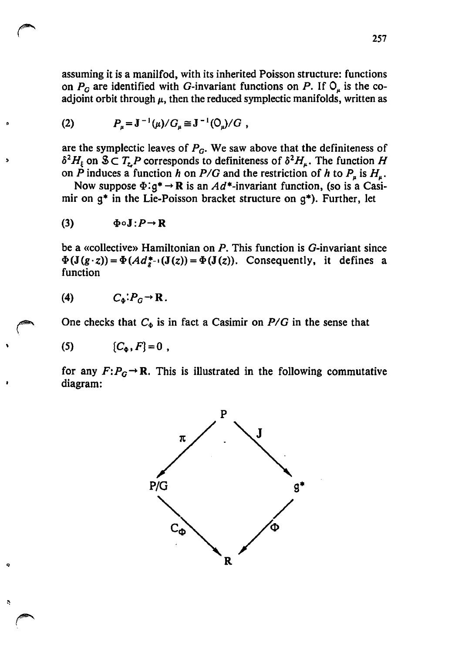assuming it is a manilfod, with its inherited Poisson structure: functions on  $P_G$  are identified with G-invariant functions on P. If  $O_u$  is the coadjoint orbit through  $\mu$ , then the reduced symplectic manifolds, written as

(2) 
$$
P_{\mu} = \mathbf{J}^{-1}(\mu) / G_{\mu} \cong \mathbf{J}^{-1}(\mathsf{O}_{\mu}) / G ,
$$

are the symplectic leaves of  $P_G$ . We saw above that the definiteness of  $\delta^2 H_{\xi}$  on  $\mathcal{S} \subset T_{z}P$  corresponds to definiteness of  $\delta^2 H_{\mu}$ . The function *H* on *P* induces a function *h* on *P/G* and the restriction of *h* to  $P_{\mu}$  is  $H_{\mu}$ .

Now suppose  $\Phi$ : $g^* \to \mathbb{R}$  is an Ad\*-invariant function, (so is a Casimir on  $g^*$  in the Lie-Poisson bracket structure on  $g^*$ ). Further, let

$$
(3) \qquad \Phi \circ J : P \to R
$$

be a «collective» Hamiltonian on P. This function is G-invariant since  $\Phi(\mathbf{J}(g \cdot z)) = \Phi(Ad_{g^{-1}}^{\ast}(\mathbf{J}(z)) = \Phi(\mathbf{J}(z)).$  Consequently, it defines a function

$$
(4) \tC_{\Phi}:P_G\to\mathbf{R}.
$$

One checks that  $C_{\phi}$  is in fact a Casimir on  $P/G$  in the sense that

$$
(5) \qquad \qquad [C_{\Phi}, F] = 0 ,
$$

Q

for any  $F: P_G \to \mathbb{R}$ . This is illustrated in the following commutative diagram:

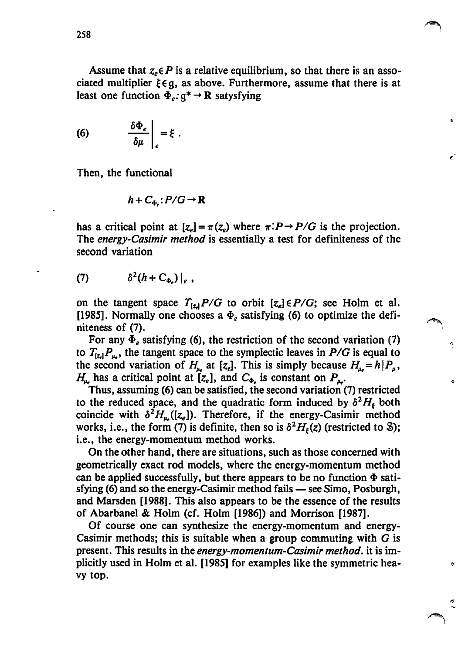Assume that  $z_e \in P$  is a relative equilibrium, so that there is an associated multiplier  $\xi \in g$ , as above. Furthermore, assume that there is at least one function  $\Phi_e$ :  $g^* \rightarrow \mathbf{R}$  satysfying

~-

(6) 
$$
\frac{\delta \Phi_e}{\delta \mu}\bigg|_e = \xi.
$$

Then, the functional

$$
h + C_{\Phi} : P/G \to \mathbf{R}
$$

has a critical point at  $[z_e] = \pi(z_e)$  where  $\pi: P \rightarrow P/G$  is the projection. The *energy-Casimir method* is essentially a test for definiteness of the second variation

$$
(7) \qquad \delta^2(h+C_{\Phi_e})|_e,
$$

on the tangent space  $T_{\{z_i\}}P/G$  to orbit  $[z_e] \in P/G$ ; see Holm et al. [1985]. Normally one chooses a  $\Phi_e$  satisfying (6) to optimize the definiteness of (7).

For any  $\Phi_e$  satisfying (6), the restriction of the second variation (7) to  $T_{[z]}P_{\mu}$ , the tangent space to the symplectic leaves in P/G is equal to the second variation of  $H_{\mu}$  at [z<sub>e</sub>]. This is simply because  $H_{\mu} = h \, | P_{\mu}$ ,  $H_{\mu}$  has a critical point at  $[z_e]$ , and  $C_{\Phi}$  is constant on  $P_{\mu}$ .

Thus, assuming (6) can be satisfied, the second variation (7) restricted to the reduced space, and the quadratic form induced by  $\delta^2 H_{\varepsilon}$  both coincide with  $\delta^2 H_{\mu}([z_e])$ . Therefore, if the energy-Casimir method works, i.e., the form (7) is definite, then so is  $\delta^2 H_{\xi}(z)$  (restricted to S); i.e., the energy-momentum method works.

On the other hand, there are situations, such as those concerned with geometrically exact rod models, where the energy-momentum method can be applied successfully, but there appears to be no function  $\Phi$  satisfying  $(6)$  and so the energy-Casimir method fails  $-$  see Simo, Posburgh, and Marsden [1988]. This also appears to be the essence of the results of Abarbanel & Holm (cf. Holm [1986]) and Morrison [1987].

Of course one can synthesize the energy-momentum and energy-Casimir methods; this is suitable when a group commuting with  $G$  is present. This results in the *energy-momentum-Casimir method.* it is implicitly used in Holm et al. [1985] for examples like the symmetric heavy top.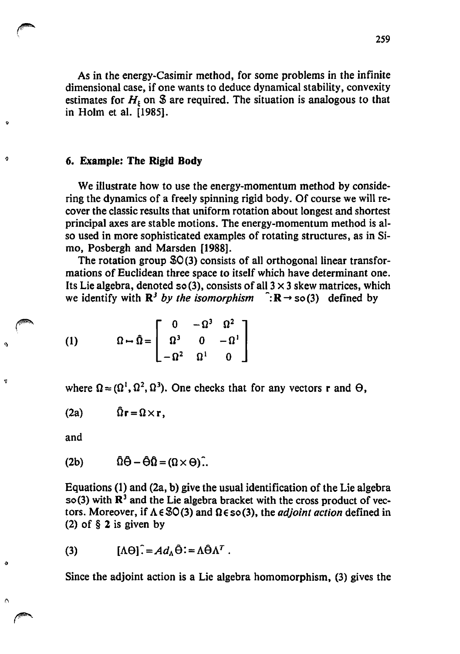As in the energy-Casimir method, for some problems in the infinite dimensional case, if one wants to deduce dynamical stability, convexity estimates for  $H<sub>k</sub>$  on  $\Im$  are required. The situation is analogous to that in Holm et al. [1985].

#### 6. Example: The Rigid Body

We illustrate how to use the energy-momentum method by considering the dynamics of a freely spinning rigid body. Of course we will recover the classic results that uniform rotation about longest and shortest principal axes are stable motions. The energy-momentum method is also used in more sophisticated examples of rotating structures, as in Simo, Posbergh and Marsden [1988].

The rotation group \$0 (3) consists of all orthogonal linear transformations of Euclidean three space to itself which have determinant one. Its Lie algebra, denoted so (3), consists of all  $3 \times 3$  skew matrices, which we identify with  $\mathbb{R}^3$  *by the isomorphism*  $\hat{H} \rightarrow$  so (3) defined by

(1) 
$$
\Omega \rightarrow \hat{\Omega} = \begin{bmatrix} 0 & -\Omega^3 & \Omega^2 \\ \Omega^3 & 0 & -\Omega^1 \\ -\Omega^2 & \Omega^1 & 0 \end{bmatrix}
$$

where  $\Omega = (\Omega^1, \Omega^2, \Omega^3)$ . One checks that for any vectors r and  $\Theta$ ,

(2a) 
$$
\hat{\Omega} \mathbf{r} = \Omega \times \mathbf{r},
$$

and

v

 $\Omega$ 

 $\ddot{\mathbf{c}}$ 

h

(2b) 
$$
\hat{\Omega}\hat{\Theta} - \hat{\Theta}\hat{\Omega} = (\Omega \times \Theta)\hat{.}.
$$

Equations (1) and (2a, b) give the usual identification of the Lie algebra so(3) with  $\mathbb{R}^3$  and the Lie algebra bracket with the cross product of vectors. Moreover, if  $\Lambda \in \mathcal{SO}(3)$  and  $\Omega \in \mathcal{SO}(3)$ , the *adjoint action* defined in (2) of  $\S$  2 is given by

$$
(3) \qquad [\Lambda \Theta] \cdot \tilde{=} Ad_{\Lambda} \Theta := \Lambda \tilde{\Theta} \Lambda^T.
$$

Since the adjoint action is a Lie algebra homomorphism, (3) gives the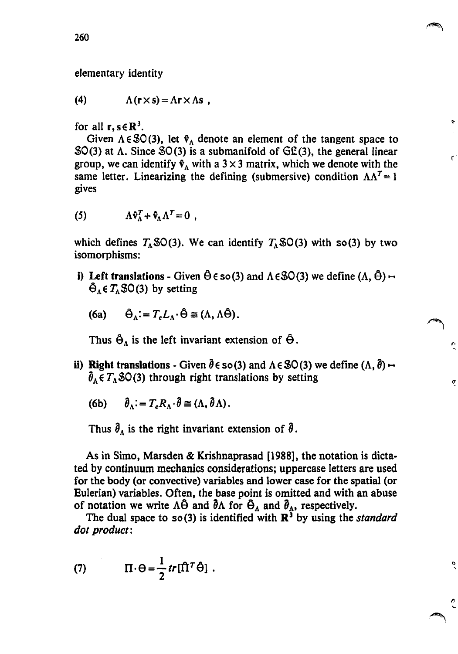260

elementary identity

(4)  $\Lambda(r \times s) = Ar \times As$ .

for all  $r, s \in \mathbb{R}^3$ .

Given  $\Lambda \in \mathcal{S}O(3)$ , let  $\hat{v}_{\Lambda}$  denote an element of the tangent space to  $$0(3)$  at  $\Lambda$ . Since  $$0(3)$  is a submanifold of  $$0(3)$ , the general linear group, we can identify  $\hat{v}_A$  with a 3 × 3 matrix, which we denote with the same letter. Linearizing the defining (submersive) condition  $\Lambda \Lambda^T = 1$ gives

$$
(5) \qquad \qquad \Lambda \hat{\mathbf{v}}_{\Lambda}^T + \hat{\mathbf{v}}_{\Lambda} \Lambda^T = 0 \ ,
$$

which defines  $T_A$  \$0(3). We can identify  $T_A$  \$0(3) with so(3) by two isomorphisms:

i) Left translations - Given  $\hat{\Theta} \in \text{so}(3)$  and  $\Lambda \in \text{SO}(3)$  we define  $(\Lambda, \hat{\Theta}) \mapsto \hat{\Theta}_{\Lambda} \in T_{\Lambda} \text{SO}(3)$  by setting

$$
(6a) \qquad \hat{\Theta}_{\Lambda} := T_e L_{\Lambda} \cdot \hat{\Theta} \cong (\Lambda, \Lambda \hat{\Theta}).
$$

Thus  $\hat{\Theta}_A$  is the left invariant extension of  $\hat{\Theta}$ .

ii) Right translations - Given  $\hat{\theta} \in$  so (3) and  $\Lambda \in$  SO (3) we define  $(\Lambda, \hat{\theta}) \mapsto \hat{\theta}_{\Lambda} \in T_{\Lambda}$  SO (3) through right translations by setting

(6b) 
$$
\hat{\theta}_{\Lambda} = T_e R_{\Lambda} \cdot \hat{\theta} \cong (\Lambda, \hat{\theta} \Lambda).
$$

Thus  $\hat{\theta}_A$  is the right invariant extension of  $\hat{\theta}$ .

As in Simo, Marsden & Krishnaprasad [1988], the notation is dictated by continuum mechanics considerations; uppercase letters are used for the body (or convective) variables and lower case for the spatial (or Eulerian) variables. Often, the base point is omitted and with an abuse of notation we write  $\Lambda\hat{\Theta}$  and  $\partial\Lambda$  for  $\hat{\Theta}_A$  and  $\hat{\theta}_A$ *, respectively.* 

The dual space to so (3) is identified with  $\mathbb{R}^3$  by using the *standard dot product:* 

> () ,

 $\sigma$ 

è

 $\mathbf{c}$ 

(7) 
$$
\Pi \cdot \Theta = \frac{1}{2} tr[\hat{\Pi}^T \hat{\Theta}] .
$$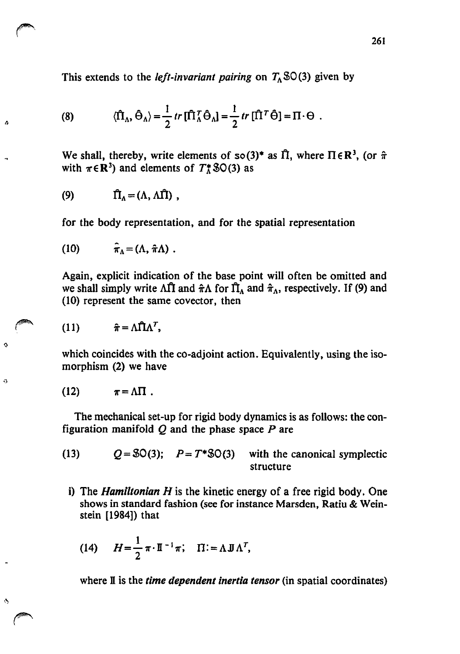This extends to the *left-invariant pairing* on  $T_A$  \$O(3) given by

(8) 
$$
\langle \hat{\Pi}_{\Lambda}, \hat{\Theta}_{\Lambda} \rangle = \frac{1}{2} tr \, [\hat{\Pi}_{\Lambda}^T \hat{\Theta}_{\Lambda}] = \frac{1}{2} tr \, [\hat{\Pi}^T \hat{\Theta}] = \Pi \cdot \Theta
$$

We shall, thereby, write elements of so(3)<sup>\*</sup> as  $\hat{\Pi}$ , where  $\Pi \in \mathbb{R}^3$ , (or  $\hat{\pi}$ with  $\pi \in \mathbb{R}^3$ ) and elements of  $T_A^*$  \$O(3) as

$$
(9) \hspace{1cm} \hat{\Pi}_\Lambda = (\Lambda, \Lambda \hat{\Pi}) \ ,
$$

s

ċ

for the body representation, and for the spatial representation

$$
(10) \qquad \hat{\pi}_{\Lambda} = (\Lambda, \, \hat{\pi} \Lambda) \; .
$$

Again, explicit indication of the base point will often be omitted and we shall simply write Aft and  $\hat{\pi}$ A for  $\hat{\Pi}_A$  and  $\hat{\pi}_A$ , respectively. If (9) and  $(10)$  represent the same covector, then

$$
(11) \qquad \qquad \hat{\pi} = \Lambda \hat{\Pi} \Lambda^T,
$$

which coincides with the co-adjoint action. Equivalently. using the isomorphism (2) we have

$$
(12) \qquad \pi = \Lambda \Pi \ .
$$

The mechanical set-up for rigid body dynamics is as follows: the configuration manifold  $Q$  and the phase space  $P$  are

- (13)  $Q = \text{SO}(3)$ ;  $P = T^* \text{SO}(3)$  with the canonical symplectic structure
	- i) The *Hamiltonian H* is the kinetic energy of a free rigid body. One shows in standard fashion (see for instance Marsden, Ratiu & Weinstein [1984]) that

(14) 
$$
H = \frac{1}{2} \pi \cdot \mathbb{I}^{-1} \pi; \quad \Pi := \Lambda \mathbb{J} \Lambda^T,
$$

where II is the *time dependent inertia tensor* (in spatial coordinates)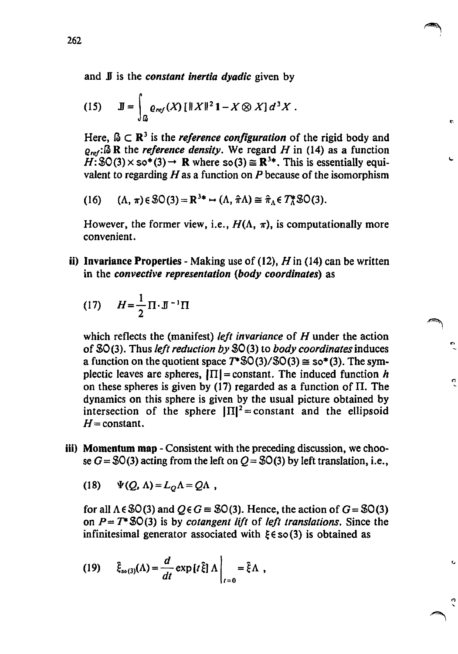and J is the *constant inertia dyadic* given by

(15) 
$$
\mathbf{J} = \int_{\mathbb{S}} \varrho_{ref}(X) \left[ ||X||^2 \mathbf{1} - X \otimes X \right] d^3 X.
$$

Here,  $\mathbb{S} \subset \mathbb{R}^3$  is the *reference configuration* of the rigid body and  $o_{\text{ref}}$ :  $\hat{\mathbf{\Omega}}$  R the *reference density*. We regard *H* in (14) as a function  $H: \mathcal{S}O(3) \times \mathcal{S}O^*(3) \to \mathbb{R}$  where  $\mathcal{S}O(3) \cong \mathbb{R}^{3*}$ . This is essentially equivalent to regarding *H* as a function on *P* because of the isomorphism

$$
(16) \qquad (\Lambda,\,\pi)\in\mathcal{SO}(3)=\mathbb{R}^{3*}\mapsto (\Lambda,\,\hat{\pi}\Lambda)\cong\hat{\pi}_{\Lambda}\in T_{\Lambda}^{*}\mathcal{SO}(3).
$$

However, the former view, i.e.,  $H(\Lambda, \pi)$ , is computationally more convenient.

ii) Invariance Properties - Making use of  $(12)$ , H in  $(14)$  can be written in the *convective representation (body coordinates)* as

(17) 
$$
H = \frac{1}{2} \Pi \cdot \mathbf{J}^{-1} \Pi
$$

which reflects the (manifest) *left invariance* of H under the action of \$0 (3). Thus *left reduction by* SO (3) to *body coordinates* induces a function on the quotient space  $T^*S0(3)/S0(3) \cong$  so<sup>\*</sup>(3). The symplectic leaves are spheres,  $\Pi$ | = constant. The induced function h on these spheres is given by (17) regarded as a function of  $\Pi$ . The dynamics on this sphere is given by the usual picture obtained by intersection of the sphere  $|\Pi|^2$  = constant and the ellipsoid  $H =$  constant.

 $\bullet$ 

e.

- iii) Momentum map Consistent with the preceding discussion, we choose  $G = \{80(3) \text{ acting from the left on } Q = \{80(3) \text{ by left translation, i.e., } \}$ 
	- (18)  $\Psi(Q, \Lambda) = L_o \Lambda = Q \Lambda$ ,

for all  $\Lambda \in \mathcal{SO}(3)$  and  $\mathcal{Q} \in G = \mathcal{SO}(3)$ . Hence, the action of  $G = \mathcal{SO}(3)$ on  $P = T^* S O(3)$  is by *cotangent lift* of *left translations*. Since the infinitesimal generator associated with  $\xi \in so(3)$  is obtained as

(19) 
$$
\hat{\xi}_{\text{so}(3)}(\Lambda) = \frac{d}{dt} \exp[t \hat{\xi}] \Lambda \bigg|_{t=0} = \hat{\xi} \Lambda ,
$$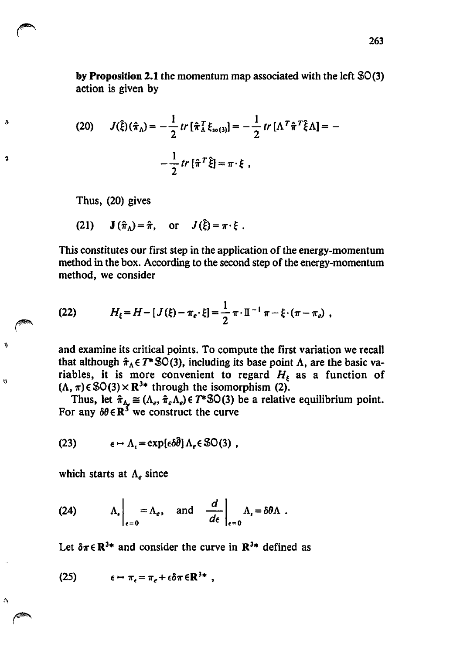by Proposition 2.1 the momentum map associated with the left  $\mathcal{SO}(3)$ action is given by

(20) 
$$
J(\hat{\xi})(\hat{\pi}_{\Lambda}) = -\frac{1}{2} tr [\hat{\pi}_{\Lambda}^{T} \xi_{so(3)}] = -\frac{1}{2} tr [\Lambda^{T} \hat{\pi}^{T} \hat{\xi} \Lambda] = -\frac{1}{2} tr [\hat{\pi}^{T} \hat{\xi}] = \pi \cdot \xi,
$$

Thus, (20) gives

 $\boldsymbol{\lambda}$ 

¢,

ņ

(21) 
$$
\mathbf{J}(\hat{\pi}_{\Lambda}) = \hat{\pi}, \text{ or } J(\hat{\xi}) = \pi \cdot \xi.
$$

This constitutes our first step in the application of the energy-momentum method in the box. According to the second step of the energy-momentum method, we consider

(22) 
$$
H_{\xi} = H - [J(\xi) - \pi_e \cdot \xi] = \frac{1}{2} \pi \cdot \Pi^{-1} \pi - \xi \cdot (\pi - \pi_e) ,
$$

and examine its critical points. To compute the first variation we recall that although  $\hat{\pi}_A \in T^* \mathcal{SO}(3)$ , including its base point  $\Lambda$ , are the basic variables, it is more convenient to regard  $H<sub>k</sub>$  as a function of  $(\Lambda, \pi) \in \mathcal{SO}(3) \times \mathbb{R}^{3*}$  through the isomorphism (2).

Thus, let  $\hat{\pi}_{\Lambda_n} \cong (\Lambda_e, \hat{\pi}_e \Lambda_e) \in T^*SO(3)$  be a relative equilibrium point. For any  $\delta\theta \in \mathbb{R}^3$  we construct the curve

(23) 
$$
\epsilon \mapsto \Lambda_{\epsilon} = \exp[\epsilon \delta \bar{\theta}] \Lambda_{\epsilon} \in \mathcal{S}O(3) ,
$$

which starts at  $\Lambda_e$  since

(24) 
$$
\Lambda_{\epsilon}\Big|_{\epsilon=0} = \Lambda_{e}
$$
, and  $\frac{d}{d\epsilon}\Big|_{\epsilon=0} \Lambda_{\epsilon} = \delta\theta\Lambda$ .

Let  $\delta \pi \in \mathbb{R}^{3*}$  and consider the curve in  $\mathbb{R}^{3*}$  defined as

$$
(25) \qquad \epsilon \mapsto \pi_{\epsilon} = \pi_{\epsilon} + \epsilon \delta \pi \epsilon \mathbf{R}^{3*} ,
$$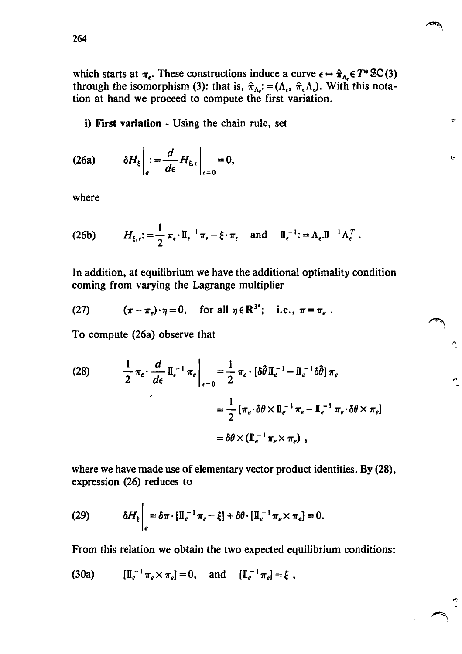which starts at  $\pi_e$ . These constructions induce a curve  $\epsilon \mapsto \hat{\pi}_{\Lambda_e} \epsilon T^* \text{SO}(3)$ through the isomorphism (3): that is,  $\hat{\pi}_{\Lambda_c}$ : = ( $\Lambda_c$ ,  $\hat{\pi}_{\epsilon} \Lambda_c$ ). With this notation at hand we proceed to compute the first variation.

 $\mathbf{C}_1$ 

٠

 $\tilde{C}$ 

**i) First variation** - Using the chain rule, set

$$
(26a) \t\t \delta H_{\xi}\Big|_{e}:=\frac{d}{d\epsilon}H_{\xi,\epsilon}\Big|_{\epsilon=0}=0,
$$

where

(26b) 
$$
H_{\xi,\epsilon} := \frac{1}{2} \pi_{\epsilon} \cdot \mathbb{I}_{\epsilon}^{-1} \pi_{\epsilon} - \xi \cdot \pi_{\epsilon} \quad \text{and} \quad \mathbb{I}_{\epsilon}^{-1} := \Lambda_{\epsilon} \mathbb{J}^{-1} \Lambda_{\epsilon}^{T}.
$$

In addition, at equilibrium we have the additional optimality condition coming from varying the Lagrange multiplier

(27) 
$$
(\pi - \pi_e) \cdot \eta = 0
$$
, for all  $\eta \in \mathbb{R}^{3^*}$ ; i.e.,  $\pi = \pi_e$ .

To compute (26a) observe that

(28) 
$$
\frac{1}{2} \pi_e \cdot \frac{d}{d\epsilon} \Pi_e^{-1} \pi_e \Big|_{\epsilon=0} = \frac{1}{2} \pi_e \cdot [\delta \theta \Pi_e^{-1} - \Pi_e^{-1} \delta \theta] \pi_e
$$

$$
= \frac{1}{2} [\pi_e \cdot \delta \theta \times \Pi_e^{-1} \pi_e - \Pi_e^{-1} \pi_e \cdot \delta \theta \times \pi_e]
$$

$$
= \delta \theta \times (\Pi_e^{-1} \pi_e \times \pi_e) ,
$$

where we have made use of elementary vector product identities. By (28), expression (26) reduces to

(29) 
$$
\delta H_{\xi}\Big|_{e} = \delta \pi \cdot [\mathbb{I}_{e}^{-1} \pi_{e} - \xi] + \delta \theta \cdot [\mathbb{I}_{e}^{-1} \pi_{e} \times \pi_{e}] = 0.
$$

From this relation we obtain the two expected equilibrium conditions:

(30a) 
$$
[\mathbb{I}_e^{-1} \pi_e \times \pi_e] = 0, \text{ and } [\mathbb{I}_e^{-1} \pi_e] = \xi,
$$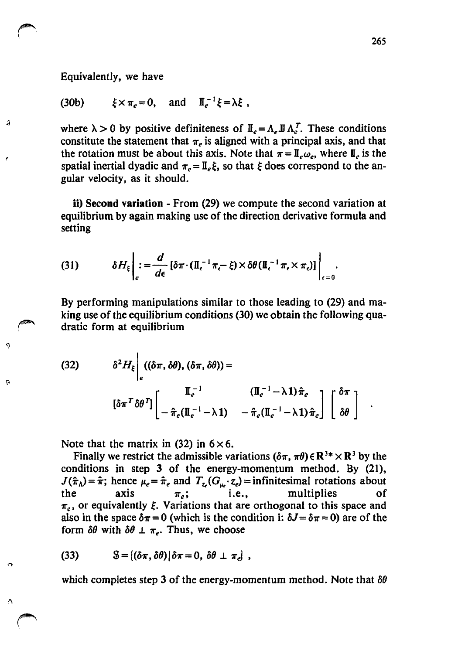Equivalently, we have

$$
(30b) \t\t \xi \times \pi_e = 0, \text{ and } \mathbb{I}_e^{-1} \xi = \lambda \xi ,
$$

where  $\lambda > 0$  by positive definiteness of  $\mathbf{H}_e = \Lambda_e \mathbf{J} \Lambda_e^T$ . These conditions constitute the statement that  $\pi_e$  is aligned with a principal axis, and that the rotation must be about this axis. Note that  $\pi = \mathbb{I}_{\epsilon} \omega_{e}$ , where  $\mathbb{I}_{\epsilon}$  is the spatial inertial dyadic and  $\pi_e = \mathbb{I}_e \xi$ , so that  $\xi$  does correspond to the angular velocity, as it should.

ii) Second variation - From (29) we compute the second variation at equilibrium by again making use of the direction derivative formula and setting

(31) 
$$
\delta H_{\xi}\Big|_{\epsilon} := \frac{d}{d\epsilon} \left[ \delta \pi \cdot (\mathbb{I}_{\epsilon}^{-1} \pi_{\epsilon} - \xi) \times \delta \theta (\mathbb{I}_{\epsilon}^{-1} \pi_{\epsilon} \times \pi_{\epsilon}) \right] \Big|_{\epsilon=0}
$$

By performing manipulations similar to those leading to (29) and making use of the equilibrium conditions (30) we obtain the following quadratic form at equilibrium

(32) 
$$
\delta^2 H_{\xi} \Big|_{e} ((\delta \pi, \delta \theta), (\delta \pi, \delta \theta)) =
$$

$$
[\delta \pi^T \delta \theta^T] \Bigg[ -\frac{\mathbb{I}_{e}^{-1}}{\hat{\pi}_{e} (\mathbb{I}_{e}^{-1} - \lambda \mathbf{1})} - \frac{\mathbb{I}_{e}^{-1} - \lambda \mathbf{1}) \hat{\pi}_{e}}{-\frac{\mathbb{I}_{e} (\mathbb{I}_{e}^{-1} - \lambda \mathbf{1}) \hat{\pi}_{e}}{-\frac{\mathbb{I}_{e} (\mathbb{I}_{e}^{-1} - \lambda \mathbf{1}) \hat{\pi}_{e}}{-\frac{\mathbb{I}_{e} (\mathbb{I}_{e}^{-1} - \lambda \mathbf{1}) \hat{\pi}_{e}}{-\frac{\mathbb{I}_{e} (\mathbb{I}_{e}^{-1} - \lambda \mathbf{1}) \hat{\pi}_{e}}{-\frac{\mathbb{I}_{e} (\mathbb{I}_{e}^{-1} - \lambda \mathbf{1}) \hat{\pi}_{e}}{-\frac{\mathbb{I}_{e} (\mathbb{I}_{e}^{-1} - \lambda \mathbf{1}) \hat{\pi}_{e}}{-\frac{\mathbb{I}_{e} (\mathbb{I}_{e}^{-1} - \lambda \mathbf{1}) \hat{\pi}_{e}}{-\frac{\mathbb{I}_{e} (\mathbb{I}_{e}^{-1} - \lambda \mathbf{1}) \hat{\pi}_{e}}{-\frac{\mathbb{I}_{e} (\mathbb{I}_{e}^{-1} - \lambda \mathbf{1}) \hat{\pi}_{e}}{-\frac{\mathbb{I}_{e} (\mathbb{I}_{e}^{-1} - \lambda \mathbf{1}) \hat{\pi}_{e}}{-\frac{\mathbb{I}_{e} (\mathbb{I}_{e}^{-1} - \lambda \mathbf{1}) \hat{\pi}_{e}}{-\frac{\mathbb{I}_{e} (\mathbb{I}_{e}^{-1} - \lambda \mathbf{1}) \hat{\pi}_{e}}{-\frac{\mathbb{I}_{e} (\mathbb{I}_{e}^{-1} - \lambda \mathbf{1}) \hat{\pi}_{e}}{-\frac{\mathbb{I}_{e} (\mathbb{I}_{e}^{-1} - \lambda \mathbf{1}) \hat{\pi}_{e}}{-\frac{\mathbb{I}_{e} (\mathbb{I}_{e}^{-1} - \lambda \mathbf{1}) \hat{\pi}_{e}}{-\frac{\mathbb{I}_{e} (\mathbb{I}_{e}^{-1} - \lambda \mathbf{1}) \hat{\pi}_{e}}{-\frac{\mathbb{I}_{e} (\mathbb
$$

Note that the matrix in (32) in  $6 \times 6$ .

Finally we restrict the admissible variations  $(\delta \pi, \pi \theta) \in \mathbb{R}^3$ \* ×  $\mathbb{R}^3$  by the conditions in step 3 of the energy-momentum method. By (21),  $J(\hat{\pi}_A) = \hat{\pi}$ ; hence  $\mu_e = \hat{\pi}_e$  and  $T_z(G_{\mu_e}, z_e) =$  infinitesimal rotations about<br>the axis  $\pi_e$ ; i.e., multiplies of  $\pi_e$ ; i.e., multiplies of  $\pi_e$ , or equivalently  $\xi$ . Variations that are orthogonal to this space and also in the space  $\delta \pi = 0$  (which is the condition i:  $\delta J = \delta \pi = 0$ ) are of the form  $\delta\theta$  with  $\delta\theta \perp \pi_e$ . Thus, we choose

$$
(33) \hspace{1cm} \mathbb{S} = \{(\delta \pi, \delta \theta) | \delta \pi = 0, \delta \theta \perp \pi_c \},
$$

 $\bullet$ 

p

â

which completes step 3 of the energy-momentum method. Note that  $\delta\theta$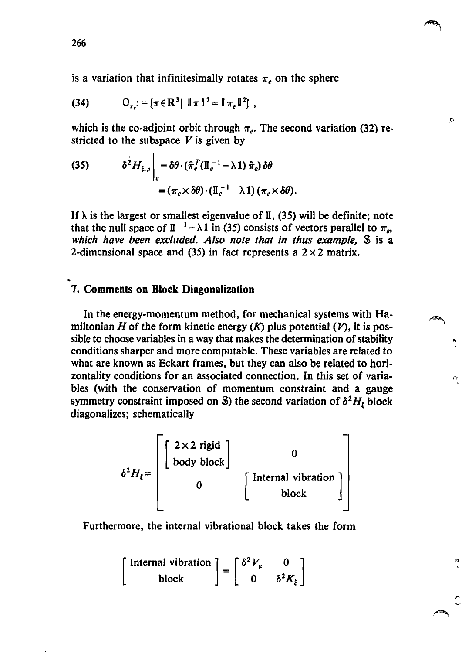is a variation that infinitesimally rotates  $\pi_e$  on the sphere

(34) 
$$
\mathsf{O}_{\tau_c} := \{ \pi \in \mathbb{R}^3 \mid \|\pi\|^2 = \|\pi_e\|^2 \},
$$

which is the co-adjoint orbit through  $\pi_e$ . The second variation (32) restricted to the subspace  $V$  is given by

(35) 
$$
\delta^2 H_{\xi,\mu}\Big|_{e} = \delta\theta \cdot (\hat{\pi}_{e}^T (\mathbb{I}_{e}^{-1} - \lambda \mathbb{1}) \hat{\pi}_{e}) \delta\theta
$$

$$
= (\pi_{e} \times \delta\theta) \cdot (\mathbb{I}_{e}^{-1} - \lambda \mathbb{1}) (\pi_{e} \times \delta\theta).
$$

If  $\lambda$  is the largest or smallest eigenvalue of II, (35) will be definite; note that the null space of  $\mathbb{I}^{-1} - \lambda \mathbb{1}$  in (35) consists of vectors parallel to  $\pi_e$ which have been excluded. Also note that in thus example. *\$* is a 2-dimensional space and (35) in fact represents a  $2 \times 2$  matrix.

### 7. **Comments on Block Diagonalization**

In the energy-momentum method, for mechanical systems with Hamiltonian *H* of the form kinetic energy  $(K)$  plus potential  $(V)$ , it is possible to choose variables in a way that makes the determination of stability conditions sharper and more computable. These variables are related to what are known as Eckart frames, but they can also be related to horizontality conditions for an associated connection. In this set of variables (with the conservation of momentum constraint and a gauge symmetry constraint imposed on S) the second variation of  $\delta^2 H_{\epsilon}$  block diagonalizes; schematically

n

 $\mathbf{t}$ 



Furthermore, the internal vibrational block takes the form

$$
\begin{bmatrix} \text{Internal vibration} \\ \text{block} \end{bmatrix} = \begin{bmatrix} \delta^2 V_{\mu} & 0 \\ 0 & \delta^2 K_{\xi} \end{bmatrix}
$$

266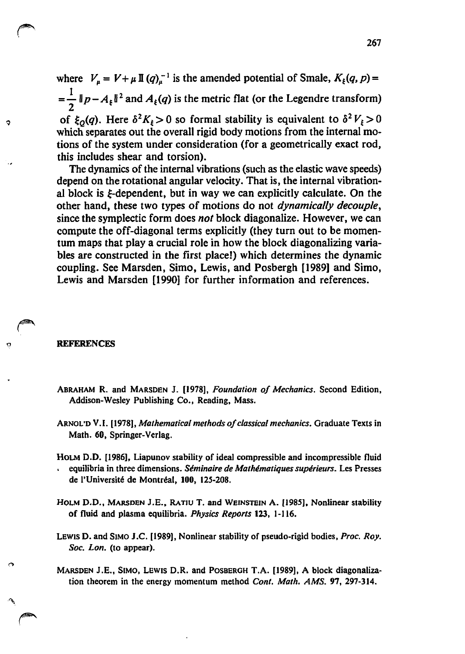where  $V_{\mu} = V + \mu \, \mathbb{I} (q)_{\mu}^{-1}$  is the amended potential of Smale,  $K_{\xi}(q, p) =$  $=\frac{1}{2}$   $\|p-A_{\xi}\|^2$  and  $A_{\xi}(q)$  is the metric flat (or the Legendre transform) of  $\xi_0(q)$ . Here  $\delta^2 K_\xi > 0$  so formal stability is equivalent to  $\delta^2 V_\xi > 0$ which separates out the overall rigid body motions from the internal motions of the system under consideration (for a geometrically exact rod,

this includes shear and torsion). The dynamics of the internal vibrations (such as the elastic wave speeds) depend on the rotational angular velocity. That is, the internal vibration-

al block is  $\xi$ -dependent, but in way we can explicitly calculate. On the other hand, these two types of motions do not *dynamically decouple,*  since the symplectic form does *not* block diagonalize. However, we can compute the off-diagonal terms explicitly (they turn out to be momentum maps that playa crucial role in how the block diagonalizing variables are constructed in the first place!) which determines the dynamic coupling. See Marsden, Simo, Lewis, and Posbergh [1989] and Simo, Lewis and Marsden [1990] for further information and references.

#### **REFERENCES**

 $\mathcal{L}$ 

 $\Omega$ 

- ABRAHAM R. and MARSDEN J. [1978], *Foundation 0/ Mechanics.* Second Edition, Addison-Wesley Publishing Co., Reading, Mass.
- ARNOL'D V.I. [1978], *Mathematical methods o/classical mechanics.* Graduate Texts in Math. 60, Springer-Verlag.
- HOLM D.O. [1986], Liapunov stability of ideal compressible and incompressible fluid . equilibria in three dimensions. *Seminaire de Mathematiques superieurs.* Les Presses de l'Université de Montréal, 100, 125-208.
- HOLM D.O., MARsDEN J.E., RATIU T. and WEINSTEIN A. (1985), Nonlinear stability of fluid and plasma equilibria. *Physics Reports* 123, 1-116.
- LEWIS D. and SIMO J.C. [1989], Nonlinear stability of pseudo-rigid bodies, *Proc. Roy. Soc. Lon.* (to appear).
- MARSDEN J .E., SIMO, LEWIS D.R. and POSBERGH T.A. (1989), A block diagonalization theorem in the energy momentum method *Cont. Math. AMS.* 97,297-314 .